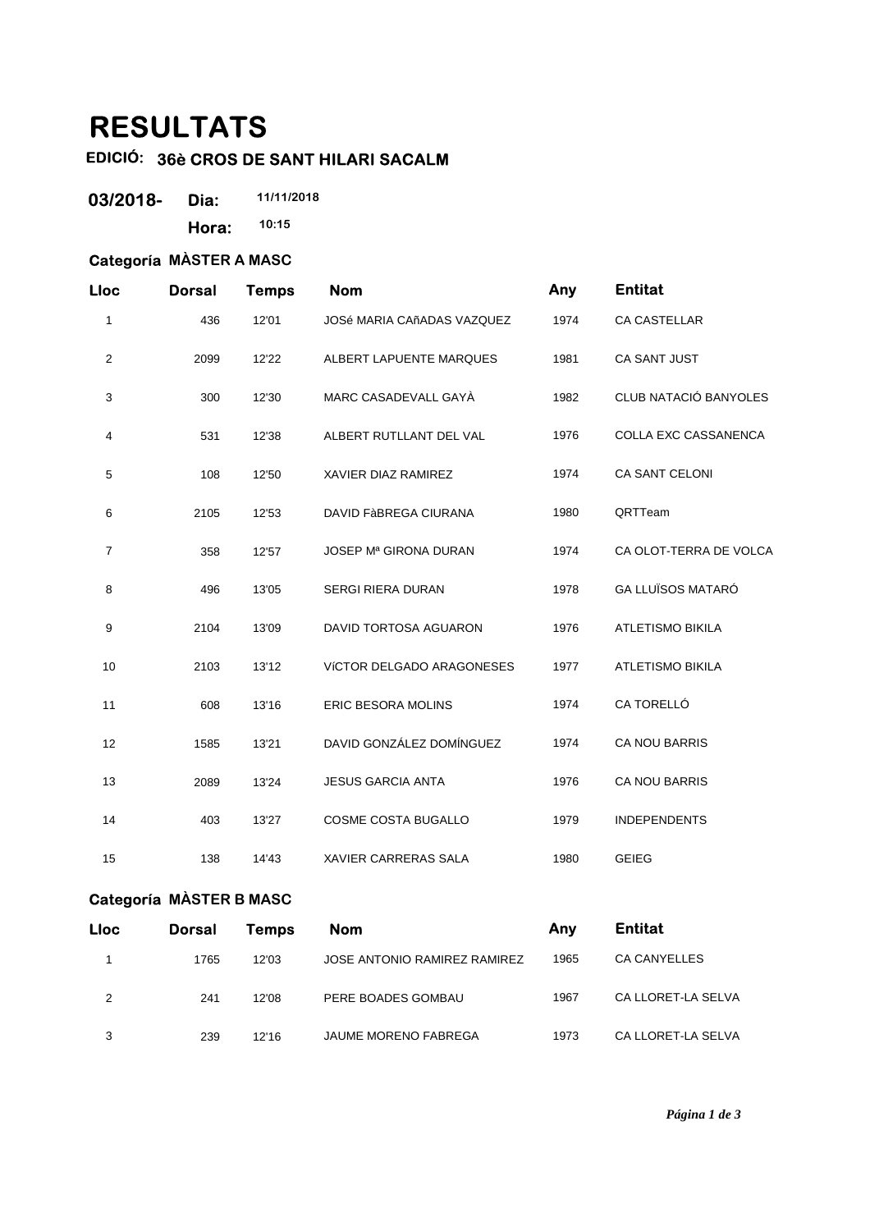# **RESULTATS**

# **EDICIÓ: 36è CROS DE SANT HILARI SACALM**

| 03/2018- | Dia:  | 11/11/2018 |
|----------|-------|------------|
|          | Hora: | 10:15      |

#### **Categoría MÀSTER A MASC**

| Lloc         | <b>Dorsal</b> | <b>Temps</b> | <b>Nom</b>                        | Any  | <b>Entitat</b>              |
|--------------|---------------|--------------|-----------------------------------|------|-----------------------------|
| 1            | 436           | 12'01        | <b>JOSé MARIA CAñADAS VAZQUEZ</b> | 1974 | CA CASTELLAR                |
| $\mathbf{2}$ | 2099          | 12'22        | ALBERT LAPUENTE MARQUES           | 1981 | CA SANT JUST                |
| 3            | 300           | 12'30        | MARC CASADEVALL GAYA              | 1982 | CLUB NATACIÓ BANYOLES       |
| 4            | 531           | 12'38        | ALBERT RUTLLANT DEL VAL           | 1976 | <b>COLLA EXC CASSANENCA</b> |
| $\mathbf 5$  | 108           | 12'50        | XAVIER DIAZ RAMIREZ               | 1974 | CA SANT CELONI              |
| 6            | 2105          | 12'53        | <b>DAVID FÀBREGA CIURANA</b>      | 1980 | QRTTeam                     |
| 7            | 358           | 12'57        | JOSEP Mª GIRONA DURAN             | 1974 | CA OLOT-TERRA DE VOLCA      |
| 8            | 496           | 13'05        | <b>SERGI RIERA DURAN</b>          | 1978 | <b>GA LLUÏSOS MATARÓ</b>    |
| 9            | 2104          | 13'09        | DAVID TORTOSA AGUARON             | 1976 | <b>ATLETISMO BIKILA</b>     |
| 10           | 2103          | 13'12        | VÍCTOR DELGADO ARAGONESES         | 1977 | <b>ATLETISMO BIKILA</b>     |
| 11           | 608           | 13'16        | <b>ERIC BESORA MOLINS</b>         | 1974 | CA TORELLÓ                  |
| 12           | 1585          | 13'21        | DAVID GONZÁLEZ DOMÍNGUEZ          | 1974 | <b>CA NOU BARRIS</b>        |
| 13           | 2089          | 13'24        | <b>JESUS GARCIA ANTA</b>          | 1976 | <b>CA NOU BARRIS</b>        |
| 14           | 403           | 13'27        | COSME COSTA BUGALLO               | 1979 | <b>INDEPENDENTS</b>         |
| 15           | 138           | 14'43        | XAVIER CARRERAS SALA              | 1980 | <b>GEIEG</b>                |

### **Categoría MÀSTER B MASC**

| <b>Lloc</b> | <b>Dorsal</b> | Temps | <b>Nom</b>                   | Anv  | <b>Entitat</b>     |
|-------------|---------------|-------|------------------------------|------|--------------------|
|             | 1765          | 12'03 | JOSE ANTONIO RAMIREZ RAMIREZ | 1965 | CA CANYELLES       |
| 2           | 241           | 12'08 | PERE BOADES GOMBAU           | 1967 | CA LLORET-LA SELVA |
| 3           | 239           | 12'16 | JAUME MORENO FABREGA         | 1973 | CA LLORET-LA SELVA |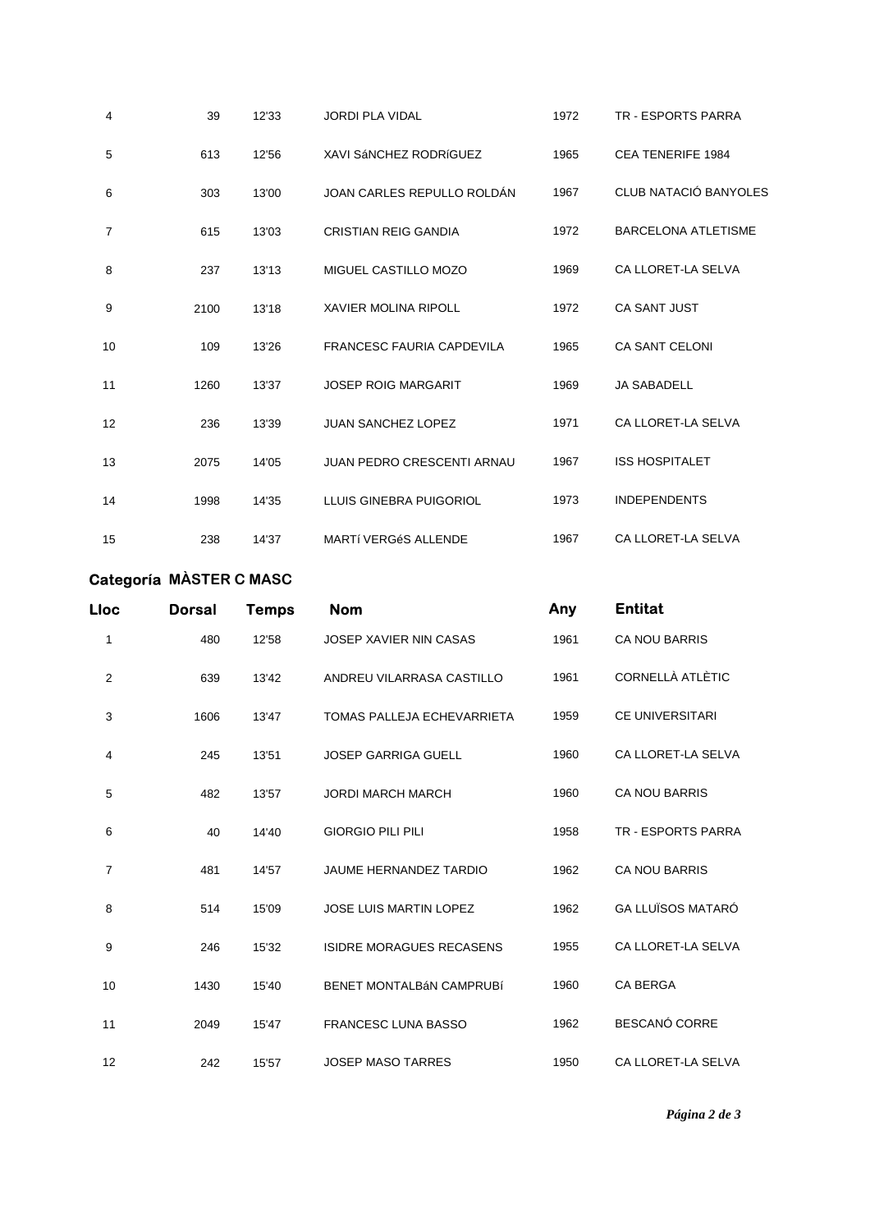| 4              | 39   | 12'33 | <b>JORDI PLA VIDAL</b>            | 1972 | <b>TR - ESPORTS PARRA</b>  |
|----------------|------|-------|-----------------------------------|------|----------------------------|
| 5              | 613  | 12'56 | XAVI SÁNCHEZ RODRÍGUEZ            | 1965 | <b>CEA TENERIFE 1984</b>   |
| 6              | 303  | 13'00 | JOAN CARLES REPULLO ROLDAN        | 1967 | CLUB NATACIÓ BANYOLES      |
| $\overline{7}$ | 615  | 13'03 | <b>CRISTIAN REIG GANDIA</b>       | 1972 | <b>BARCELONA ATLETISME</b> |
| 8              | 237  | 13'13 | MIGUEL CASTILLO MOZO              | 1969 | CA LLORET-LA SELVA         |
| 9              | 2100 | 13'18 | <b>XAVIER MOLINA RIPOLL</b>       | 1972 | <b>CA SANT JUST</b>        |
| 10             | 109  | 13'26 | <b>FRANCESC FAURIA CAPDEVILA</b>  | 1965 | <b>CA SANT CELONI</b>      |
| 11             | 1260 | 13'37 | <b>JOSEP ROIG MARGARIT</b>        | 1969 | <b>JA SABADELL</b>         |
| 12             | 236  | 13'39 | <b>JUAN SANCHEZ LOPEZ</b>         | 1971 | CA LLORET-LA SELVA         |
| 13             | 2075 | 14'05 | <b>JUAN PEDRO CRESCENTI ARNAU</b> | 1967 | <b>ISS HOSPITALET</b>      |
| 14             | 1998 | 14'35 | LLUIS GINEBRA PUIGORIOL           | 1973 | <b>INDEPENDENTS</b>        |
| 15             | 238  | 14'37 | <b>MARTÍ VERGÉS ALLENDE</b>       | 1967 | CA LLORET-LA SELVA         |

## **Categoría MÀSTER C MASC**

| Lloc           | <b>Dorsal</b> | <b>Temps</b> | <b>Nom</b>                      | Any  | <b>Entitat</b>           |
|----------------|---------------|--------------|---------------------------------|------|--------------------------|
| 1              | 480           | 12'58        | <b>JOSEP XAVIER NIN CASAS</b>   | 1961 | <b>CA NOU BARRIS</b>     |
| $\overline{2}$ | 639           | 13'42        | ANDREU VILARRASA CASTILLO       | 1961 | CORNELLÀ ATLÈTIC         |
| 3              | 1606          | 13'47        | TOMAS PALLEJA ECHEVARRIETA      | 1959 | <b>CE UNIVERSITARI</b>   |
| 4              | 245           | 13'51        | <b>JOSEP GARRIGA GUELL</b>      | 1960 | CA LLORET-LA SELVA       |
| 5              | 482           | 13'57        | <b>JORDI MARCH MARCH</b>        | 1960 | <b>CA NOU BARRIS</b>     |
| 6              | 40            | 14'40        | <b>GIORGIO PILI PILI</b>        | 1958 | TR - ESPORTS PARRA       |
| $\overline{7}$ | 481           | 14'57        | <b>JAUME HERNANDEZ TARDIO</b>   | 1962 | <b>CA NOU BARRIS</b>     |
| 8              | 514           | 15'09        | <b>JOSE LUIS MARTIN LOPEZ</b>   | 1962 | <b>GA LLUÏSOS MATARÓ</b> |
| 9              | 246           | 15'32        | <b>ISIDRE MORAGUES RECASENS</b> | 1955 | CA LLORET-LA SELVA       |
| 10             | 1430          | 15'40        | <b>BENET MONTALBÁN CAMPRUBÍ</b> | 1960 | <b>CA BERGA</b>          |
| 11             | 2049          | 15'47        | <b>FRANCESC LUNA BASSO</b>      | 1962 | <b>BESCANÓ CORRE</b>     |
| 12             | 242           | 15'57        | <b>JOSEP MASO TARRES</b>        | 1950 | CA LLORET-LA SELVA       |